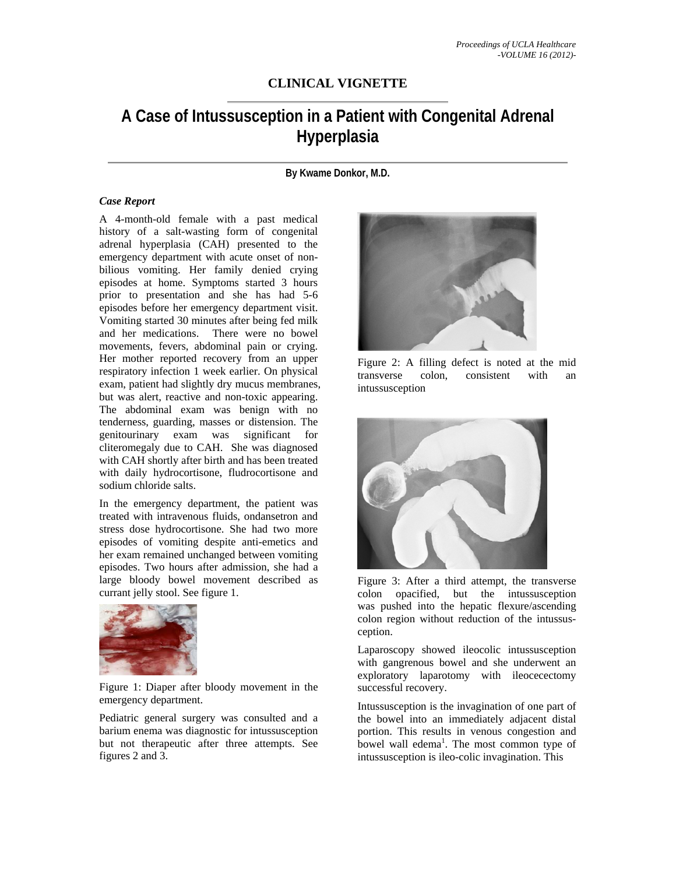## **CLINICAL VIGNETTE**

## **A Case of Intussusception in a Patient with Congenital Adrenal Hyperplasia**

**By Kwame Donkor, M.D.** 

## *Case Report*

A 4-month-old female with a past medical history of a salt-wasting form of congenital adrenal hyperplasia (CAH) presented to the emergency department with acute onset of nonbilious vomiting. Her family denied crying episodes at home. Symptoms started 3 hours prior to presentation and she has had 5-6 episodes before her emergency department visit. Vomiting started 30 minutes after being fed milk and her medications. There were no bowel movements, fevers, abdominal pain or crying. Her mother reported recovery from an upper respiratory infection 1 week earlier. On physical exam, patient had slightly dry mucus membranes, but was alert, reactive and non-toxic appearing. The abdominal exam was benign with no tenderness, guarding, masses or distension. The genitourinary exam was significant for cliteromegaly due to CAH. She was diagnosed with CAH shortly after birth and has been treated with daily hydrocortisone, fludrocortisone and sodium chloride salts.

In the emergency department, the patient was treated with intravenous fluids, ondansetron and stress dose hydrocortisone. She had two more episodes of vomiting despite anti-emetics and her exam remained unchanged between vomiting episodes. Two hours after admission, she had a large bloody bowel movement described as currant jelly stool. See figure 1.



Figure 1: Diaper after bloody movement in the emergency department.

Pediatric general surgery was consulted and a barium enema was diagnostic for intussusception but not therapeutic after three attempts. See figures 2 and 3.



Figure 2: A filling defect is noted at the mid transverse colon, consistent with an intussusception



Figure 3: After a third attempt, the transverse colon opacified, but the intussusception was pushed into the hepatic flexure/ascending colon region without reduction of the intussusception.

Laparoscopy showed ileocolic intussusception with gangrenous bowel and she underwent an exploratory laparotomy with ileocecectomy successful recovery.

Intussusception is the invagination of one part of the bowel into an immediately adjacent distal portion. This results in venous congestion and bowel wall edema<sup>1</sup>. The most common type of intussusception is ileo-colic invagination. This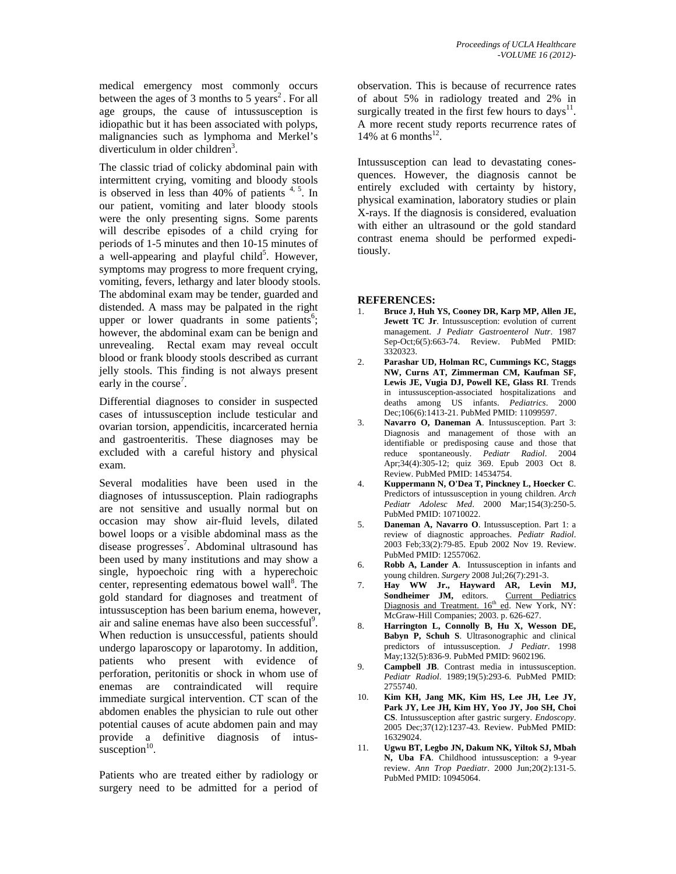medical emergency most commonly occurs between the ages of 3 months to 5 years<sup>2</sup>. For all age groups, the cause of intussusception is idiopathic but it has been associated with polyps, malignancies such as lymphoma and Merkel's diverticulum in older children<sup>3</sup>.

The classic triad of colicky abdominal pain with intermittent crying, vomiting and bloody stools is observed in less than  $40\%$  of patients  $4, 5$ . In our patient, vomiting and later bloody stools were the only presenting signs. Some parents will describe episodes of a child crying for periods of 1-5 minutes and then 10-15 minutes of  $\alpha$  well-appearing and playful child<sup>5</sup>. However, symptoms may progress to more frequent crying, vomiting, fevers, lethargy and later bloody stools. The abdominal exam may be tender, guarded and distended. A mass may be palpated in the right upper or lower quadrants in some patients<sup>6</sup>; however, the abdominal exam can be benign and unrevealing. Rectal exam may reveal occult blood or frank bloody stools described as currant jelly stools. This finding is not always present early in the course<sup>7</sup>.

Differential diagnoses to consider in suspected cases of intussusception include testicular and ovarian torsion, appendicitis, incarcerated hernia and gastroenteritis. These diagnoses may be excluded with a careful history and physical exam.

Several modalities have been used in the diagnoses of intussusception. Plain radiographs are not sensitive and usually normal but on occasion may show air-fluid levels, dilated bowel loops or a visible abdominal mass as the disease progresses<sup>7</sup>. Abdominal ultrasound has been used by many institutions and may show a single, hypoechoic ring with a hyperechoic center, representing edematous bowel wall $8$ . The gold standard for diagnoses and treatment of intussusception has been barium enema, however, air and saline enemas have also been successful<sup>9</sup>. When reduction is unsuccessful, patients should undergo laparoscopy or laparotomy. In addition, patients who present with evidence of perforation, peritonitis or shock in whom use of enemas are contraindicated will require immediate surgical intervention. CT scan of the abdomen enables the physician to rule out other potential causes of acute abdomen pain and may provide a definitive diagnosis of intussusception<sup>10</sup>.

Patients who are treated either by radiology or surgery need to be admitted for a period of

observation. This is because of recurrence rates of about 5% in radiology treated and 2% in surgically treated in the first few hours to days $^{11}$ . A more recent study reports recurrence rates of 14% at 6 months $^{12}$ .

Intussusception can lead to devastating conesquences. However, the diagnosis cannot be entirely excluded with certainty by history, physical examination, laboratory studies or plain X-rays. If the diagnosis is considered, evaluation with either an ultrasound or the gold standard contrast enema should be performed expeditiously.

## **REFERENCES:**

- 1. **Bruce J, Huh YS, Cooney DR, Karp MP, Allen JE, Jewett TC Jr**. Intussusception: evolution of current management. *J Pediatr Gastroenterol Nutr*. 1987 Sep-Oct;6(5):663-74. Review. PubMed PMID: 3320323.
- 2. **Parashar UD, Holman RC, Cummings KC, Staggs NW, Curns AT, Zimmerman CM, Kaufman SF, Lewis JE, Vugia DJ, Powell KE, Glass RI**. Trends in intussusception-associated hospitalizations and deaths among US infants. *Pediatrics*. 2000 Dec;106(6):1413-21. PubMed PMID: 11099597.
- 3. **Navarro O, Daneman A**. Intussusception. Part 3: Diagnosis and management of those with an identifiable or predisposing cause and those that reduce spontaneously. *Pediatr Radiol*. 2004 Apr;34(4):305-12; quiz 369. Epub 2003 Oct 8. Review. PubMed PMID: 14534754.
- 4. **Kuppermann N, O'Dea T, Pinckney L, Hoecker C**. Predictors of intussusception in young children. *Arch Pediatr Adolesc Med*. 2000 Mar;154(3):250-5. PubMed PMID: 10710022.
- 5. **Daneman A, Navarro O**. Intussusception. Part 1: a review of diagnostic approaches. *Pediatr Radiol*. 2003 Feb;33(2):79-85. Epub 2002 Nov 19. Review. PubMed PMID: 12557062.
- 6. **Robb A, Lander A**. Intussusception in infants and young children. *Surgery* 2008 Jul;26(7):291-3.
- 7. **Hay WW Jr., Hayward AR, Levin MJ,**  Sondheimer JM, editors. Current Pediatrics Diagnosis and Treatment. 16<sup>th</sup> ed. New York, NY: McGraw-Hill Companies; 2003. p. 626-627.
- 8. **Harrington L, Connolly B, Hu X, Wesson DE, Babyn P, Schuh S**. Ultrasonographic and clinical predictors of intussusception. *J Pediatr*. 1998 May;132(5):836-9. PubMed PMID: 9602196.
- 9. **Campbell JB**. Contrast media in intussusception. *Pediatr Radiol*. 1989;19(5):293-6. PubMed PMID: 2755740.
- 10. **Kim KH, Jang MK, Kim HS, Lee JH, Lee JY, Park JY, Lee JH, Kim HY, Yoo JY, Joo SH, Choi CS**. Intussusception after gastric surgery. *Endoscopy*. 2005 Dec;37(12):1237-43. Review. PubMed PMID: 16329024.
- 11. **Ugwu BT, Legbo JN, Dakum NK, Yiltok SJ, Mbah N, Uba FA**. Childhood intussusception: a 9-year review. *Ann Trop Paediatr*. 2000 Jun;20(2):131-5. PubMed PMID: 10945064.